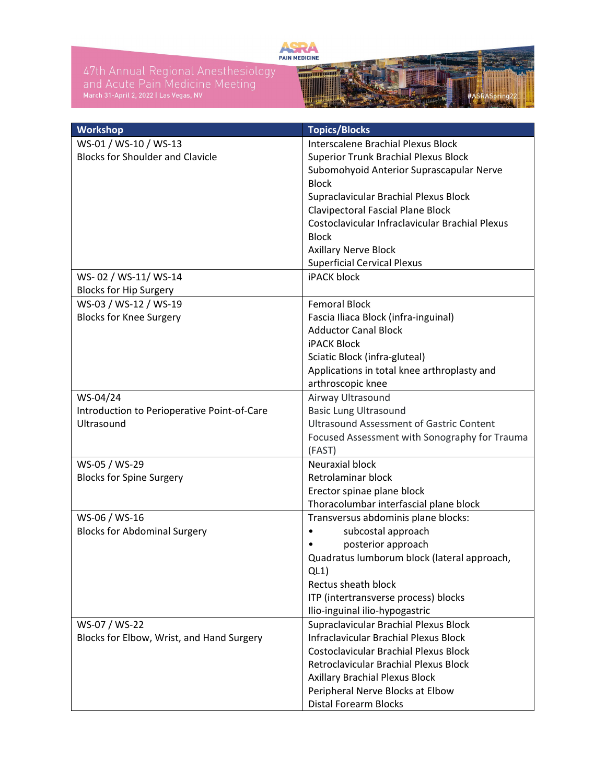

47th Annual Regional Anesthesiology<br>and Acute Pain Medicine Meeting<br>March 31-April 2, 2022 I Las Vegas, NV



| Workshop                                    | <b>Topics/Blocks</b>                            |
|---------------------------------------------|-------------------------------------------------|
| WS-01 / WS-10 / WS-13                       | Interscalene Brachial Plexus Block              |
| <b>Blocks for Shoulder and Clavicle</b>     | <b>Superior Trunk Brachial Plexus Block</b>     |
|                                             | Subomohyoid Anterior Suprascapular Nerve        |
|                                             | <b>Block</b>                                    |
|                                             | Supraclavicular Brachial Plexus Block           |
|                                             | Clavipectoral Fascial Plane Block               |
|                                             | Costoclavicular Infraclavicular Brachial Plexus |
|                                             | <b>Block</b>                                    |
|                                             | <b>Axillary Nerve Block</b>                     |
|                                             | <b>Superficial Cervical Plexus</b>              |
| WS-02 / WS-11/ WS-14                        | <b>iPACK block</b>                              |
| <b>Blocks for Hip Surgery</b>               |                                                 |
| WS-03 / WS-12 / WS-19                       | <b>Femoral Block</b>                            |
| <b>Blocks for Knee Surgery</b>              | Fascia Iliaca Block (infra-inguinal)            |
|                                             | <b>Adductor Canal Block</b>                     |
|                                             | <b>iPACK Block</b>                              |
|                                             | Sciatic Block (infra-gluteal)                   |
|                                             | Applications in total knee arthroplasty and     |
|                                             | arthroscopic knee                               |
| WS-04/24                                    | Airway Ultrasound                               |
| Introduction to Perioperative Point-of-Care | <b>Basic Lung Ultrasound</b>                    |
| Ultrasound                                  | <b>Ultrasound Assessment of Gastric Content</b> |
|                                             | Focused Assessment with Sonography for Trauma   |
|                                             | (FAST)                                          |
| WS-05 / WS-29                               | <b>Neuraxial block</b>                          |
| <b>Blocks for Spine Surgery</b>             | Retrolaminar block                              |
|                                             | Erector spinae plane block                      |
|                                             | Thoracolumbar interfascial plane block          |
| WS-06 / WS-16                               | Transversus abdominis plane blocks:             |
| <b>Blocks for Abdominal Surgery</b>         | subcostal approach                              |
|                                             | posterior approach                              |
|                                             | Quadratus lumborum block (lateral approach,     |
|                                             | QL1)                                            |
|                                             | Rectus sheath block                             |
|                                             | ITP (intertransverse process) blocks            |
|                                             | Ilio-inguinal ilio-hypogastric                  |
| WS-07 / WS-22                               | Supraclavicular Brachial Plexus Block           |
| Blocks for Elbow, Wrist, and Hand Surgery   | Infraclavicular Brachial Plexus Block           |
|                                             | <b>Costoclavicular Brachial Plexus Block</b>    |
|                                             | Retroclavicular Brachial Plexus Block           |
|                                             | <b>Axillary Brachial Plexus Block</b>           |
|                                             | Peripheral Nerve Blocks at Elbow                |
|                                             | <b>Distal Forearm Blocks</b>                    |